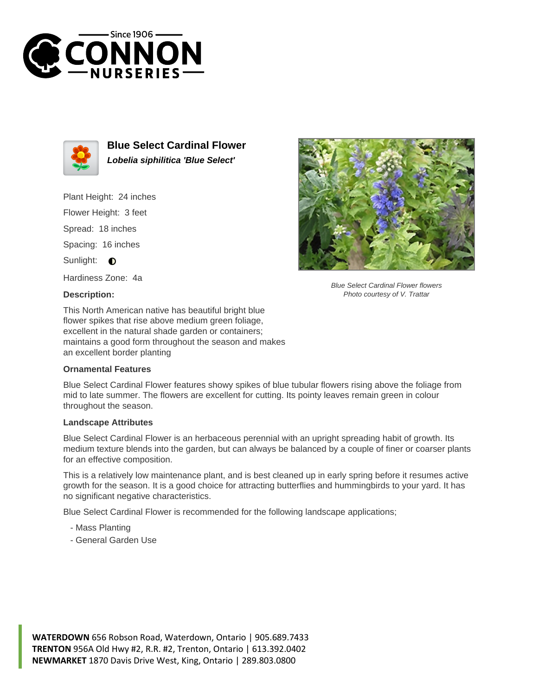



**Blue Select Cardinal Flower Lobelia siphilitica 'Blue Select'**

Plant Height: 24 inches

Flower Height: 3 feet

Spread: 18 inches

Spacing: 16 inches

Sunlight:  $\bigcirc$ 

Hardiness Zone: 4a

## **Description:**

This North American native has beautiful bright blue flower spikes that rise above medium green foliage, excellent in the natural shade garden or containers; maintains a good form throughout the season and makes an excellent border planting

## **Ornamental Features**

Blue Select Cardinal Flower features showy spikes of blue tubular flowers rising above the foliage from mid to late summer. The flowers are excellent for cutting. Its pointy leaves remain green in colour throughout the season.

## **Landscape Attributes**

Blue Select Cardinal Flower is an herbaceous perennial with an upright spreading habit of growth. Its medium texture blends into the garden, but can always be balanced by a couple of finer or coarser plants for an effective composition.

This is a relatively low maintenance plant, and is best cleaned up in early spring before it resumes active growth for the season. It is a good choice for attracting butterflies and hummingbirds to your yard. It has no significant negative characteristics.

Blue Select Cardinal Flower is recommended for the following landscape applications;

- Mass Planting
- General Garden Use



Blue Select Cardinal Flower flowers Photo courtesy of V. Trattar

**WATERDOWN** 656 Robson Road, Waterdown, Ontario | 905.689.7433 **TRENTON** 956A Old Hwy #2, R.R. #2, Trenton, Ontario | 613.392.0402 **NEWMARKET** 1870 Davis Drive West, King, Ontario | 289.803.0800